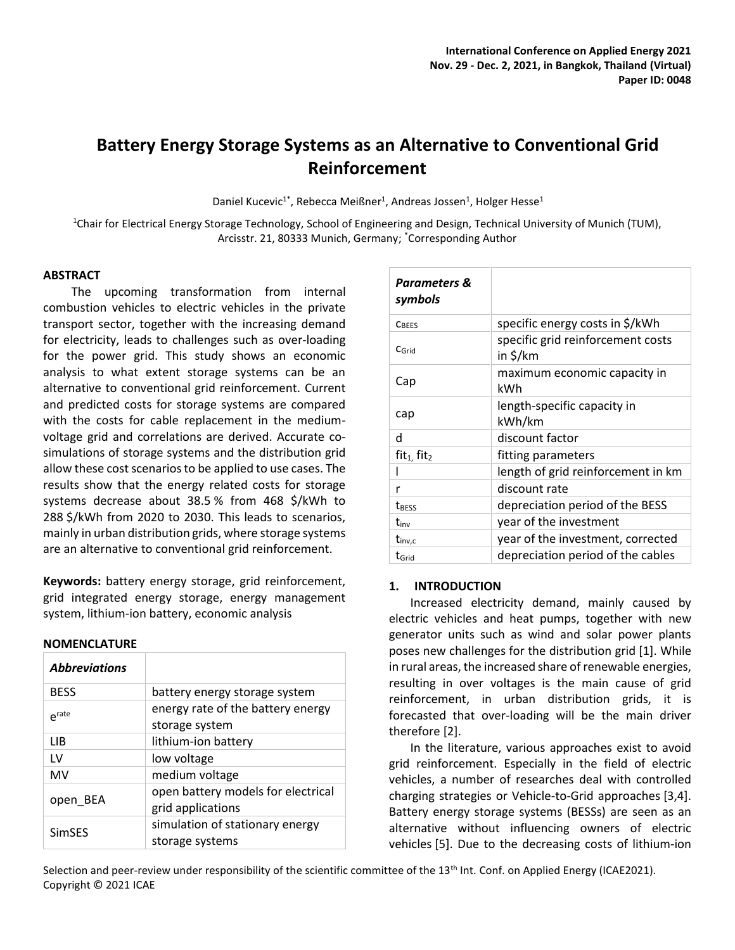# **Battery Energy Storage Systems as an Alternative to Conventional Grid Reinforcement**

Daniel Kucevic<sup>1\*</sup>, Rebecca Meißner<sup>1</sup>, Andreas Jossen<sup>1</sup>, Holger Hesse<sup>1</sup>

<sup>1</sup>Chair for Electrical Energy Storage Technology, School of Engineering and Design, Technical University of Munich (TUM), Arcisstr. 21, 80333 Munich, Germany; \*Corresponding Author

### **ABSTRACT**

The upcoming transformation from internal combustion vehicles to electric vehicles in the private transport sector, together with the increasing demand for electricity, leads to challenges such as over-loading for the power grid. This study shows an economic analysis to what extent storage systems can be an alternative to conventional grid reinforcement. Current and predicted costs for storage systems are compared with the costs for cable replacement in the mediumvoltage grid and correlations are derived. Accurate cosimulations of storage systems and the distribution grid allow these cost scenarios to be applied to use cases. The results show that the energy related costs for storage systems decrease about 38.5 % from 468 \$/kWh to 288 \$/kWh from 2020 to 2030. This leads to scenarios, mainly in urban distribution grids, where storage systems are an alternative to conventional grid reinforcement.

**Keywords:** battery energy storage, grid reinforcement, grid integrated energy storage, energy management system, lithium-ion battery, economic analysis

#### **NOMENCLATURE**

| <b>Abbreviations</b> |                                                         |
|----------------------|---------------------------------------------------------|
| <b>BESS</b>          | battery energy storage system                           |
| $e^{rate}$           | energy rate of the battery energy<br>storage system     |
| LIB                  | lithium-ion battery                                     |
| ١V                   | low voltage                                             |
| <b>MV</b>            | medium voltage                                          |
| open BEA             | open battery models for electrical<br>grid applications |
| <b>SimSES</b>        | simulation of stationary energy<br>storage systems      |

| <b>Parameters &amp;</b><br>symbols |                                               |
|------------------------------------|-----------------------------------------------|
| CBEES                              | specific energy costs in \$/kWh               |
| $C$ Grid                           | specific grid reinforcement costs<br>in \$/km |
| Cap                                | maximum economic capacity in<br>kWh           |
| cap                                | length-specific capacity in<br>kWh/km         |
| d                                  | discount factor                               |
| $fit1$ , fit <sub>2</sub>          | fitting parameters                            |
|                                    | length of grid reinforcement in km            |
| r                                  | discount rate                                 |
| <b>TRESS</b>                       | depreciation period of the BESS               |
| tinv                               | year of the investment                        |
| $t_{\text{inv,c}}$                 | year of the investment, corrected             |
| $t_{\rm Grid}$                     | depreciation period of the cables             |

#### **1. INTRODUCTION**

Increased electricity demand, mainly caused by electric vehicles and heat pumps, together with new generator units such as wind and solar power plants poses new challenges for the distribution grid [1]. While in rural areas, the increased share of renewable energies, resulting in over voltages is the main cause of grid reinforcement, in urban distribution grids, it is forecasted that over-loading will be the main driver therefore [2].

In the literature, various approaches exist to avoid grid reinforcement. Especially in the field of electric vehicles, a number of researches deal with controlled charging strategies or Vehicle-to-Grid approaches [3,4]. Battery energy storage systems (BESSs) are seen as an alternative without influencing owners of electric vehicles [5]. Due to the decreasing costs of lithium-ion

Selection and peer-review under responsibility of the scientific committee of the 13<sup>th</sup> Int. Conf. on Applied Energy (ICAE2021). Copyright © 2021 ICAE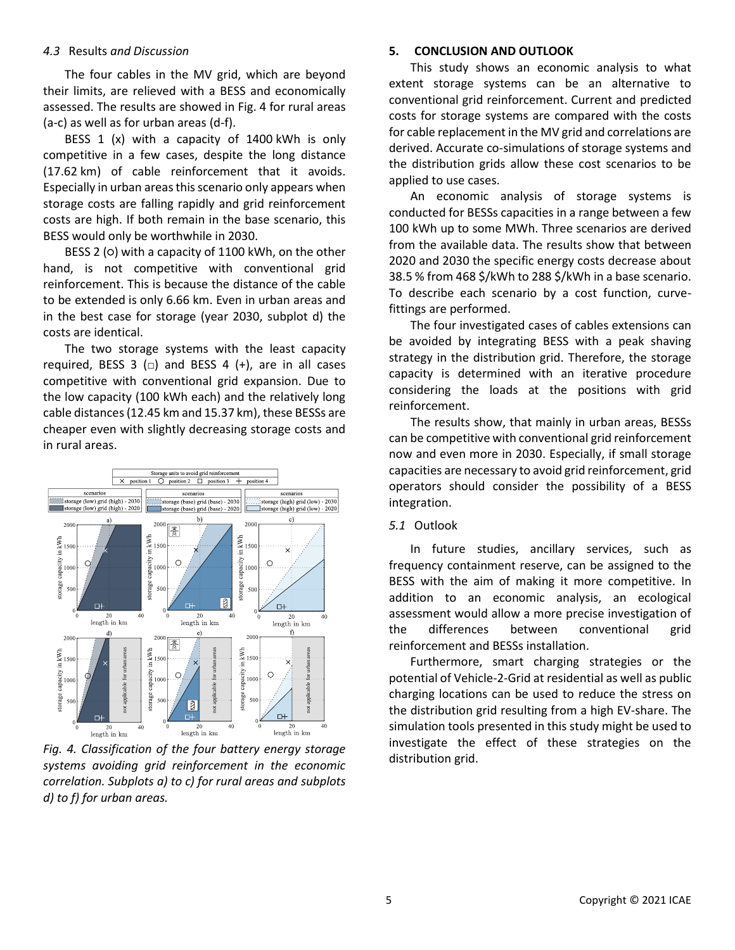## *4.3* Results *and Discussion*

The four cables in the MV grid, which are beyond their limits, are relieved with a BESS and economically assessed. The results are showed in Fig. 4 for rural areas (a-c) as well as for urban areas (d-f).

BESS 1 (x) with a capacity of 1400 kWh is only competitive in a few cases, despite the long distance (17.62 km) of cable reinforcement that it avoids. Especially in urban areasthis scenario only appears when storage costs are falling rapidly and grid reinforcement costs are high. If both remain in the base scenario, this BESS would only be worthwhile in 2030.

BESS 2 (0) with a capacity of 1100 kWh, on the other hand, is not competitive with conventional grid reinforcement. This is because the distance of the cable to be extended is only 6.66 km. Even in urban areas and in the best case for storage (year 2030, subplot d) the costs are identical.

The two storage systems with the least capacity required, BESS 3  $\Box$  and BESS 4 (+), are in all cases competitive with conventional grid expansion. Due to the low capacity (100 kWh each) and the relatively long cable distances (12.45 km and 15.37 km), these BESSs are cheaper even with slightly decreasing storage costs and in rural areas.



*Fig. 4. Classification of the four battery energy storage systems avoiding grid reinforcement in the economic correlation. Subplots a) to c) for rural areas and subplots d) to f) for urban areas.*

### **5. CONCLUSION AND OUTLOOK**

This study shows an economic analysis to what extent storage systems can be an alternative to conventional grid reinforcement. Current and predicted costs for storage systems are compared with the costs for cable replacement in the MV grid and correlations are derived. Accurate co-simulations of storage systems and the distribution grids allow these cost scenarios to be applied to use cases.

An economic analysis of storage systems is conducted for BESSs capacities in a range between a few 100 kWh up to some MWh. Three scenarios are derived from the available data. The results show that between 2020 and 2030 the specific energy costs decrease about 38.5 % from 468 \$/kWh to 288 \$/kWh in a base scenario. To describe each scenario by a cost function, curvefittings are performed.

The four investigated cases of cables extensions can be avoided by integrating BESS with a peak shaving strategy in the distribution grid. Therefore, the storage capacity is determined with an iterative procedure considering the loads at the positions with grid reinforcement.

The results show, that mainly in urban areas, BESSs can be competitive with conventional grid reinforcement now and even more in 2030. Especially, if small storage capacities are necessary to avoid grid reinforcement, grid operators should consider the possibility of a BESS integration.

#### *5.1* Outlook

In future studies, ancillary services, such as frequency containment reserve, can be assigned to the BESS with the aim of making it more competitive. In addition to an economic analysis, an ecological assessment would allow a more precise investigation of the differences between conventional grid reinforcement and BESSs installation.

Furthermore, smart charging strategies or the potential of Vehicle-2-Grid at residential as well as public charging locations can be used to reduce the stress on the distribution grid resulting from a high EV-share. The simulation tools presented in this study might be used to investigate the effect of these strategies on the distribution grid.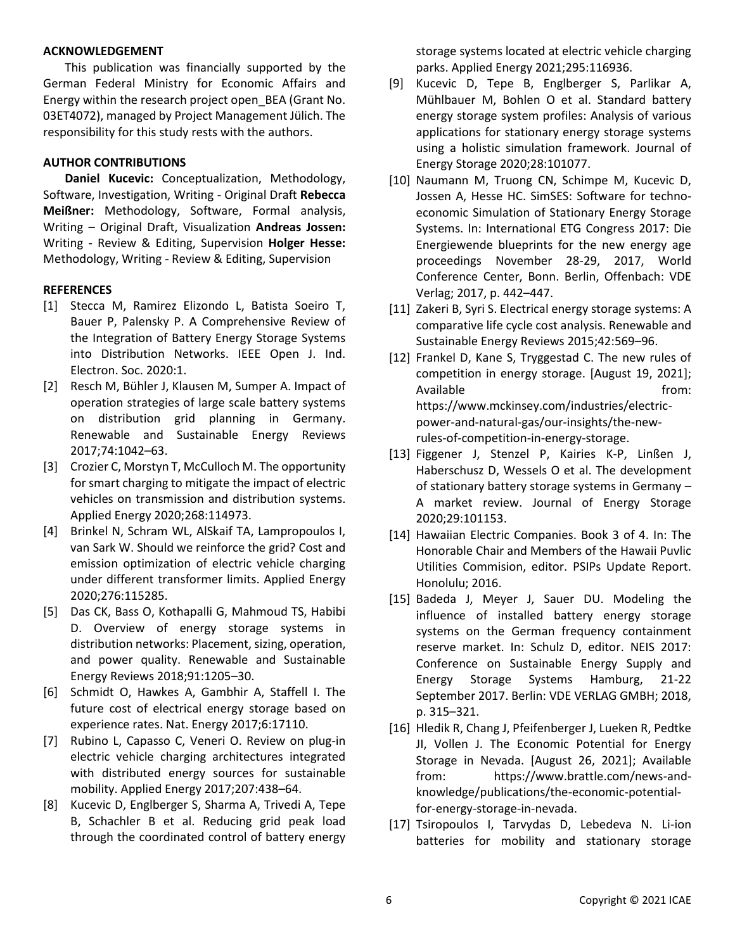## **ACKNOWLEDGEMENT**

This publication was financially supported by the German Federal Ministry for Economic Affairs and Energy within the research project open\_BEA (Grant No. 03ET4072), managed by Project Management Jülich. The responsibility for this study rests with the authors.

# **AUTHOR CONTRIBUTIONS**

**Daniel Kucevic:** Conceptualization, Methodology, Software, Investigation, Writing - Original Draft **Rebecca Meißner:** Methodology, Software, Formal analysis, Writing – Original Draft, Visualization **Andreas Jossen:** Writing - Review & Editing, Supervision **Holger Hesse:** Methodology, Writing - Review & Editing, Supervision

# **REFERENCES**

- [1] Stecca M, Ramirez Elizondo L, Batista Soeiro T, Bauer P, Palensky P. A Comprehensive Review of the Integration of Battery Energy Storage Systems into Distribution Networks. IEEE Open J. Ind. Electron. Soc. 2020:1.
- [2] Resch M, Bühler J, Klausen M, Sumper A. Impact of operation strategies of large scale battery systems on distribution grid planning in Germany. Renewable and Sustainable Energy Reviews 2017;74:1042–63.
- [3] Crozier C, Morstyn T, McCulloch M. The opportunity for smart charging to mitigate the impact of electric vehicles on transmission and distribution systems. Applied Energy 2020;268:114973.
- [4] Brinkel N, Schram WL, AlSkaif TA, Lampropoulos I, van Sark W. Should we reinforce the grid? Cost and emission optimization of electric vehicle charging under different transformer limits. Applied Energy 2020;276:115285.
- [5] Das CK, Bass O, Kothapalli G, Mahmoud TS, Habibi D. Overview of energy storage systems in distribution networks: Placement, sizing, operation, and power quality. Renewable and Sustainable Energy Reviews 2018;91:1205–30.
- [6] Schmidt O, Hawkes A, Gambhir A, Staffell I. The future cost of electrical energy storage based on experience rates. Nat. Energy 2017;6:17110.
- [7] Rubino L, Capasso C, Veneri O. Review on plug-in electric vehicle charging architectures integrated with distributed energy sources for sustainable mobility. Applied Energy 2017;207:438–64.
- [8] Kucevic D, Englberger S, Sharma A, Trivedi A, Tepe B, Schachler B et al. Reducing grid peak load through the coordinated control of battery energy

storage systems located at electric vehicle charging parks. Applied Energy 2021;295:116936.

- [9] Kucevic D, Tepe B, Englberger S, Parlikar A, Mühlbauer M, Bohlen O et al. Standard battery energy storage system profiles: Analysis of various applications for stationary energy storage systems using a holistic simulation framework. Journal of Energy Storage 2020;28:101077.
- [10] Naumann M, Truong CN, Schimpe M, Kucevic D, Jossen A, Hesse HC. SimSES: Software for technoeconomic Simulation of Stationary Energy Storage Systems. In: International ETG Congress 2017: Die Energiewende blueprints for the new energy age proceedings November 28-29, 2017, World Conference Center, Bonn. Berlin, Offenbach: VDE Verlag; 2017, p. 442–447.
- [11] Zakeri B, Syri S. Electrical energy storage systems: A comparative life cycle cost analysis. Renewable and Sustainable Energy Reviews 2015;42:569–96.
- [12] Frankel D, Kane S, Tryggestad C. The new rules of competition in energy storage. [August 19, 2021]; Available **from:** https://www.mckinsey.com/industries/electricpower-and-natural-gas/our-insights/the-newrules-of-competition-in-energy-storage.
- [13] Figgener J, Stenzel P, Kairies K-P, Linßen J, Haberschusz D, Wessels O et al. The development of stationary battery storage systems in Germany – A market review. Journal of Energy Storage 2020;29:101153.
- [14] Hawaiian Electric Companies. Book 3 of 4. In: The Honorable Chair and Members of the Hawaii Puvlic Utilities Commision, editor. PSIPs Update Report. Honolulu; 2016.
- [15] Badeda J, Meyer J, Sauer DU. Modeling the influence of installed battery energy storage systems on the German frequency containment reserve market. In: Schulz D, editor. NEIS 2017: Conference on Sustainable Energy Supply and Energy Storage Systems Hamburg, 21-22 September 2017. Berlin: VDE VERLAG GMBH; 2018, p. 315–321.
- [16] Hledik R, Chang J, Pfeifenberger J, Lueken R, Pedtke JI, Vollen J. The Economic Potential for Energy Storage in Nevada. [August 26, 2021]; Available from: https://www.brattle.com/news-andknowledge/publications/the-economic-potentialfor-energy-storage-in-nevada.
- [17] Tsiropoulos I, Tarvydas D, Lebedeva N. Li-ion batteries for mobility and stationary storage